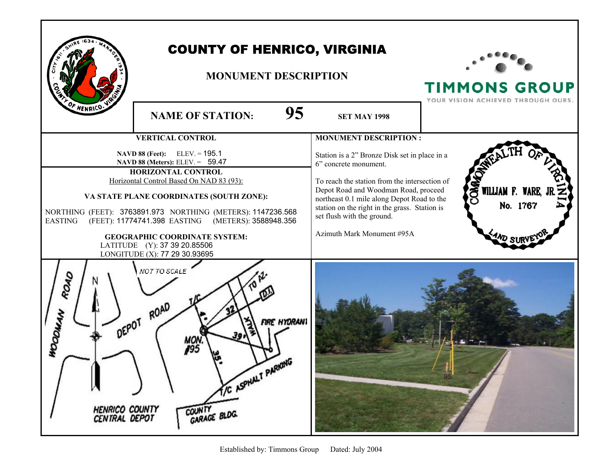|                                                                  | <b>COUNTY OF HENRICO, VIRGINIA</b><br><b>MONUMENT DESCRIPTION</b>                                                                                                                                                                                                                                                                                                                                            |                                                                                                                                                                                                                                                                                                                            | <b>TIMMONS GROUP</b>                       |
|------------------------------------------------------------------|--------------------------------------------------------------------------------------------------------------------------------------------------------------------------------------------------------------------------------------------------------------------------------------------------------------------------------------------------------------------------------------------------------------|----------------------------------------------------------------------------------------------------------------------------------------------------------------------------------------------------------------------------------------------------------------------------------------------------------------------------|--------------------------------------------|
| OF HENRICO.                                                      | 95<br><b>NAME OF STATION:</b>                                                                                                                                                                                                                                                                                                                                                                                | <b>SET MAY 1998</b>                                                                                                                                                                                                                                                                                                        | YOUR VISION ACHIEVED THROUGH OURS.         |
|                                                                  | <b>VERTICAL CONTROL</b>                                                                                                                                                                                                                                                                                                                                                                                      | <b>MONUMENT DESCRIPTION:</b>                                                                                                                                                                                                                                                                                               |                                            |
| <b>EASTING</b>                                                   | NAVD 88 (Feet): ELEV. = 195.1<br>NAVD 88 (Meters): ELEV. = 59.47<br>HORIZONTAL CONTROL<br>Horizontal Control Based On NAD 83 (93):<br>VA STATE PLANE COORDINATES (SOUTH ZONE):<br>NORTHING (FEET): 3763891.973 NORTHING (METERS): 1147236.568<br>(FEET): 11774741.398 EASTING (METERS): 3588948.356<br><b>GEOGRAPHIC COORDINATE SYSTEM:</b><br>LATITUDE (Y): 37 39 20.85506<br>LONGITUDE (X): 77 29 30.93695 | Station is a 2" Bronze Disk set in place in a<br>6" concrete monument.<br>To reach the station from the intersection of<br>Depot Road and Woodman Road, proceed<br>northeast 0.1 mile along Depot Road to the<br>station on the right in the grass. Station is<br>set flush with the ground.<br>Azimuth Mark Monument #95A | <b>SAR</b><br>WILLIAM F. WARE,<br>No. 1767 |
| ROAD<br><b>HOODMAN</b><br><b>HENRICO COUNTY</b><br>CENTRAL DEPOT | NOT TO SCALE<br>DEPOT ROAD<br>FIRE HYDRANI<br>T/C ASPHALT PARKING<br>COUNTY BLOG                                                                                                                                                                                                                                                                                                                             |                                                                                                                                                                                                                                                                                                                            |                                            |